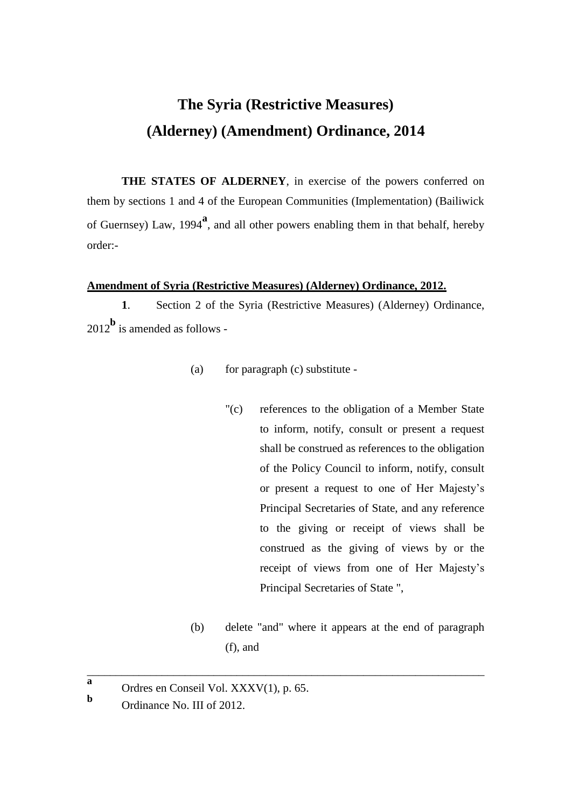## **The Syria (Restrictive Measures) (Alderney) (Amendment) Ordinance, 2014**

**THE STATES OF ALDERNEY**, in exercise of the powers conferred on them by sections 1 and 4 of the European Communities (Implementation) (Bailiwick of Guernsey) Law, 1994**<sup>a</sup>** , and all other powers enabling them in that behalf, hereby order:-

## **Amendment of Syria (Restrictive Measures) (Alderney) Ordinance, 2012.**

**1**. Section 2 of the Syria (Restrictive Measures) (Alderney) Ordinance, <sup>2012</sup>**<sup>b</sup>** is amended as follows -

- (a) for paragraph (c) substitute
	- "(c) references to the obligation of a Member State to inform, notify, consult or present a request shall be construed as references to the obligation of the Policy Council to inform, notify, consult or present a request to one of Her Majesty's Principal Secretaries of State, and any reference to the giving or receipt of views shall be construed as the giving of views by or the receipt of views from one of Her Majesty's Principal Secretaries of State ",
- (b) delete "and" where it appears at the end of paragraph (f), and

\_\_\_\_\_\_\_\_\_\_\_\_\_\_\_\_\_\_\_\_\_\_\_\_\_\_\_\_\_\_\_\_\_\_\_\_\_\_\_\_\_\_\_\_\_\_\_\_\_\_\_\_\_\_\_\_\_\_\_\_\_\_\_\_\_\_\_\_\_

**b**

**a** Ordres en Conseil Vol. XXXV(1), p. 65.

Ordinance No. III of 2012.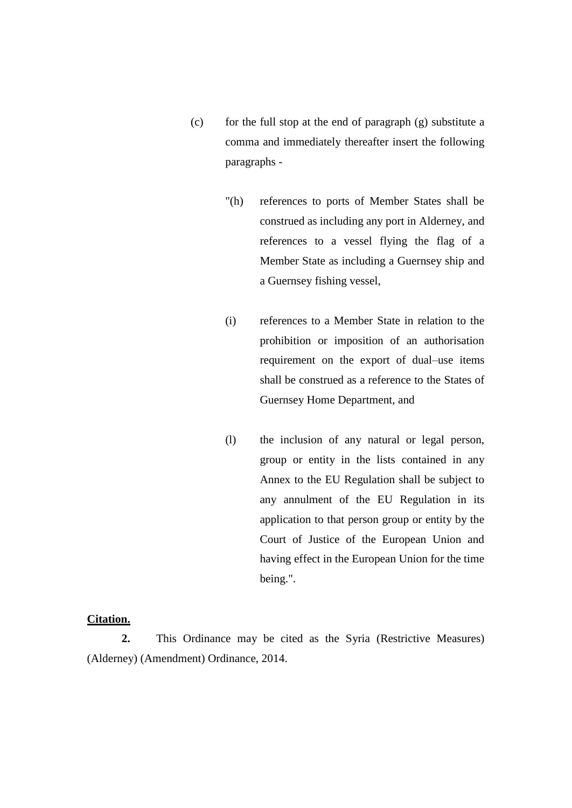- (c) for the full stop at the end of paragraph (g) substitute a comma and immediately thereafter insert the following paragraphs -
	- "(h) references to ports of Member States shall be construed as including any port in Alderney, and references to a vessel flying the flag of a Member State as including a Guernsey ship and a Guernsey fishing vessel,
	- (i) references to a Member State in relation to the prohibition or imposition of an authorisation requirement on the export of dual–use items shall be construed as a reference to the States of Guernsey Home Department, and
	- (l) the inclusion of any natural or legal person, group or entity in the lists contained in any Annex to the EU Regulation shall be subject to any annulment of the EU Regulation in its application to that person group or entity by the Court of Justice of the European Union and having effect in the European Union for the time being.".

## **Citation.**

**2.** This Ordinance may be cited as the Syria (Restrictive Measures) (Alderney) (Amendment) Ordinance, 2014.